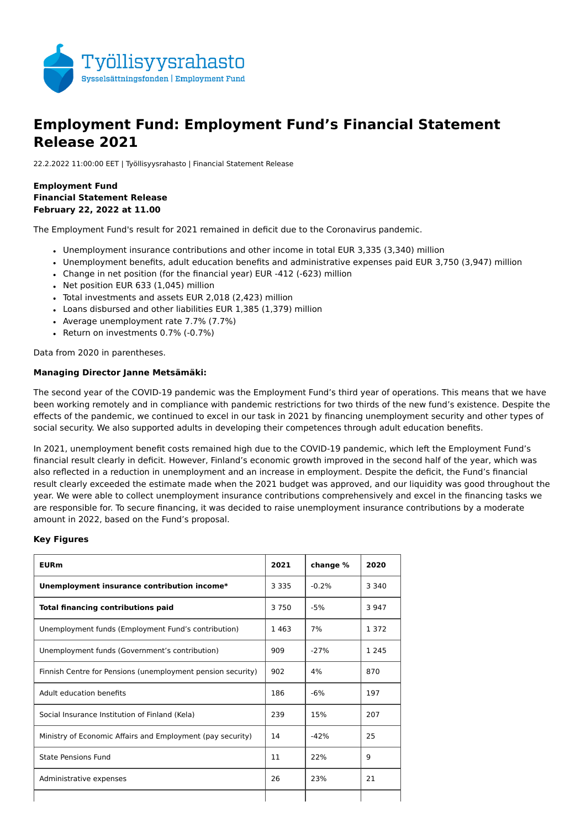

# **Employment Fund: Employment Fund's Financial Statement Release 2021**

22.2.2022 11:00:00 EET | Työllisyysrahasto | Financial Statement Release

**Employment Fund Financial Statement Release February 22, 2022 at 11.00** 

The Employment Fund's result for 2021 remained in deficit due to the Coronavirus pandemic.

- Unemployment insurance contributions and other income in total EUR 3,335 (3,340) million
- Unemployment benefits, adult education benefits and administrative expenses paid EUR 3,750 (3,947) million
- Change in net position (for the financial year) EUR -412 (-623) million
- Net position EUR 633 (1,045) million
- Total investments and assets EUR 2,018 (2,423) million
- Loans disbursed and other liabilities EUR 1,385 (1,379) million
- Average unemployment rate 7.7% (7.7%)
- Return on investments 0.7% (-0.7%)

Data from 2020 in parentheses.

#### **Managing Director Janne Metsämäki:**

The second year of the COVID-19 pandemic was the Employment Fund's third year of operations. This means that we have been working remotely and in compliance with pandemic restrictions for two thirds of the new fund's existence. Despite the effects of the pandemic, we continued to excel in our task in 2021 by financing unemployment security and other types of social security. We also supported adults in developing their competences through adult education benefits.

In 2021, unemployment benefit costs remained high due to the COVID-19 pandemic, which left the Employment Fund's financial result clearly in deficit. However, Finland's economic growth improved in the second half of the year, which was also reflected in a reduction in unemployment and an increase in employment. Despite the deficit, the Fund's financial result clearly exceeded the estimate made when the 2021 budget was approved, and our liquidity was good throughout the year. We were able to collect unemployment insurance contributions comprehensively and excel in the financing tasks we are responsible for. To secure financing, it was decided to raise unemployment insurance contributions by a moderate amount in 2022, based on the Fund's proposal.

#### **Key Figures**

| <b>EURm</b>                                                 | 2021    | change % | 2020    |
|-------------------------------------------------------------|---------|----------|---------|
| Unemployment insurance contribution income*                 | 3 3 3 5 | $-0.2%$  | 3 3 4 0 |
| <b>Total financing contributions paid</b>                   | 3750    | $-5%$    | 3 9 4 7 |
| Unemployment funds (Employment Fund's contribution)         | 1463    | 7%       | 1 3 7 2 |
| Unemployment funds (Government's contribution)              | 909     | $-27%$   | 1 2 4 5 |
| Finnish Centre for Pensions (unemployment pension security) | 902     | 4%       | 870     |
| Adult education benefits                                    | 186     | $-6%$    | 197     |
| Social Insurance Institution of Finland (Kela)              | 239     | 15%      | 207     |
| Ministry of Economic Affairs and Employment (pay security)  | 14      | $-42%$   | 25      |
| <b>State Pensions Fund</b>                                  | 11      | 22%      | 9       |
| Administrative expenses                                     | 26      | 23%      | 21      |
|                                                             |         |          |         |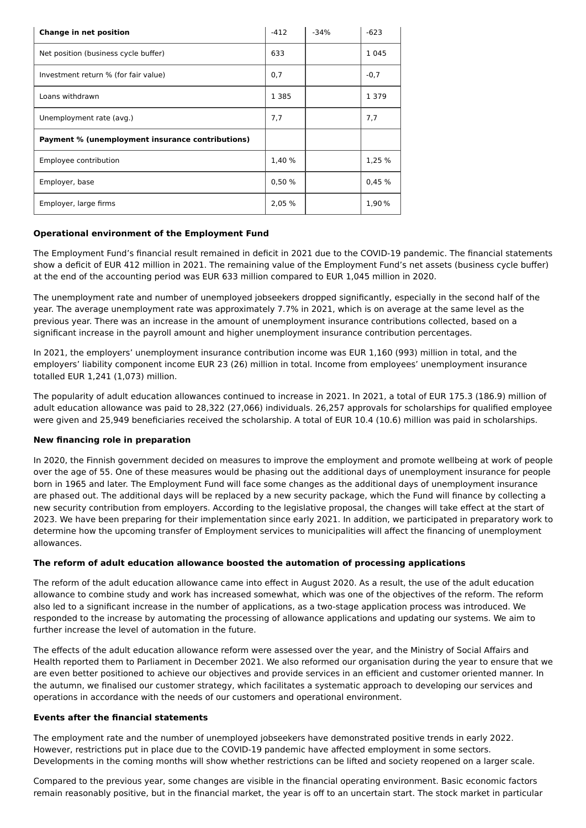| Change in net position                           | $-412$  | $-34%$ | $-623$  |
|--------------------------------------------------|---------|--------|---------|
| Net position (business cycle buffer)             | 633     |        | 1 0 4 5 |
| Investment return % (for fair value)             | 0,7     |        | $-0,7$  |
| Loans withdrawn                                  | 1 3 8 5 |        | 1 3 7 9 |
| Unemployment rate (avg.)                         | 7,7     |        | 7,7     |
| Payment % (unemployment insurance contributions) |         |        |         |
| Employee contribution                            | 1,40 %  |        | 1,25 %  |
| Employer, base                                   | 0,50%   |        | 0.45%   |
| Employer, large firms                            | 2,05 %  |        | 1,90%   |

# **Operational environment of the Employment Fund**

The Employment Fund's financial result remained in deficit in 2021 due to the COVID-19 pandemic. The financial statements show a deficit of EUR 412 million in 2021. The remaining value of the Employment Fund's net assets (business cycle buffer) at the end of the accounting period was EUR 633 million compared to EUR 1,045 million in 2020.

The unemployment rate and number of unemployed jobseekers dropped significantly, especially in the second half of the year. The average unemployment rate was approximately 7.7% in 2021, which is on average at the same level as the previous year. There was an increase in the amount of unemployment insurance contributions collected, based on a significant increase in the payroll amount and higher unemployment insurance contribution percentages.

In 2021, the employers' unemployment insurance contribution income was EUR 1,160 (993) million in total, and the employers' liability component income EUR 23 (26) million in total. Income from employees' unemployment insurance totalled EUR 1,241 (1,073) million.

The popularity of adult education allowances continued to increase in 2021. In 2021, a total of EUR 175.3 (186.9) million of adult education allowance was paid to 28,322 (27,066) individuals. 26,257 approvals for scholarships for qualified employee were given and 25,949 beneficiaries received the scholarship. A total of EUR 10.4 (10.6) million was paid in scholarships.

# **New financing role in preparation**

In 2020, the Finnish government decided on measures to improve the employment and promote wellbeing at work of people over the age of 55. One of these measures would be phasing out the additional days of unemployment insurance for people born in 1965 and later. The Employment Fund will face some changes as the additional days of unemployment insurance are phased out. The additional days will be replaced by a new security package, which the Fund will finance by collecting a new security contribution from employers. According to the legislative proposal, the changes will take effect at the start of 2023. We have been preparing for their implementation since early 2021. In addition, we participated in preparatory work to determine how the upcoming transfer of Employment services to municipalities will affect the financing of unemployment allowances.

# **The reform of adult education allowance boosted the automation of processing applications**

The reform of the adult education allowance came into effect in August 2020. As a result, the use of the adult education allowance to combine study and work has increased somewhat, which was one of the objectives of the reform. The reform also led to a significant increase in the number of applications, as a two-stage application process was introduced. We responded to the increase by automating the processing of allowance applications and updating our systems. We aim to further increase the level of automation in the future.

The effects of the adult education allowance reform were assessed over the year, and the Ministry of Social Affairs and Health reported them to Parliament in December 2021. We also reformed our organisation during the year to ensure that we are even better positioned to achieve our objectives and provide services in an efficient and customer oriented manner. In the autumn, we finalised our customer strategy, which facilitates a systematic approach to developing our services and operations in accordance with the needs of our customers and operational environment.

#### **Events after the financial statements**

The employment rate and the number of unemployed jobseekers have demonstrated positive trends in early 2022. However, restrictions put in place due to the COVID-19 pandemic have affected employment in some sectors. Developments in the coming months will show whether restrictions can be lifted and society reopened on a larger scale.

Compared to the previous year, some changes are visible in the financial operating environment. Basic economic factors remain reasonably positive, but in the financial market, the year is off to an uncertain start. The stock market in particular